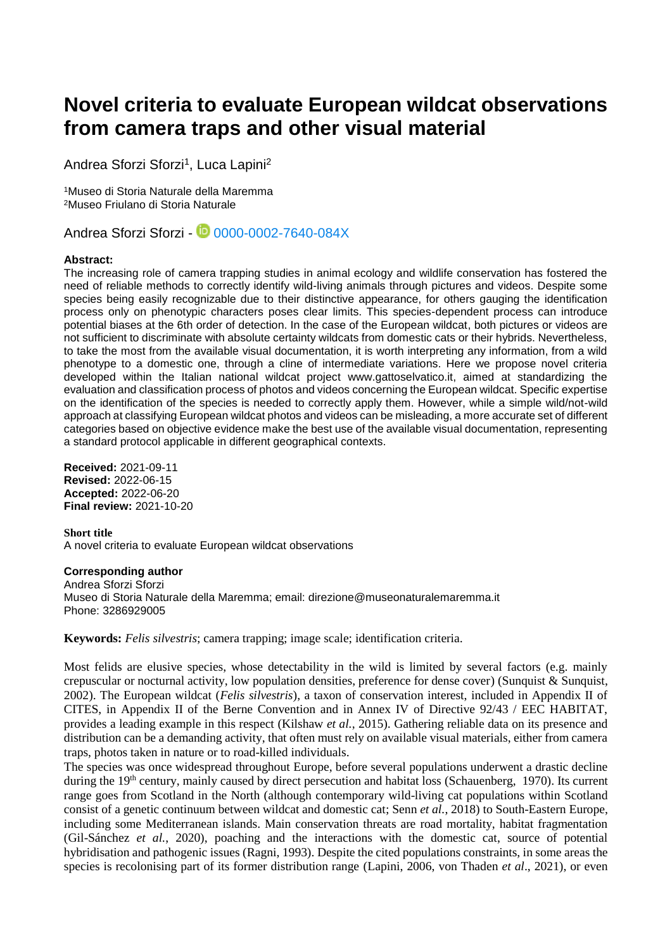# **Novel criteria to evaluate European wildcat observations from camera traps and other visual material**

Andrea Sforzi Sforzi<sup>1</sup>, Luca Lapini<sup>2</sup>

<sup>1</sup>Museo di Storia Naturale della Maremma <sup>2</sup>Museo Friulano di Storia Naturale

Andrea Sforzi Sforzi - 1 [0000-0002-7640-084X](https://orcid.org/0000-0002-7640-084X)

# **Abstract:**

The increasing role of camera trapping studies in animal ecology and wildlife conservation has fostered the need of reliable methods to correctly identify wild-living animals through pictures and videos. Despite some species being easily recognizable due to their distinctive appearance, for others gauging the identification process only on phenotypic characters poses clear limits. This species-dependent process can introduce potential biases at the 6th order of detection. In the case of the European wildcat, both pictures or videos are not sufficient to discriminate with absolute certainty wildcats from domestic cats or their hybrids. Nevertheless, to take the most from the available visual documentation, it is worth interpreting any information, from a wild phenotype to a domestic one, through a cline of intermediate variations. Here we propose novel criteria developed within the Italian national wildcat project www.gattoselvatico.it, aimed at standardizing the evaluation and classification process of photos and videos concerning the European wildcat. Specific expertise on the identification of the species is needed to correctly apply them. However, while a simple wild/not-wild approach at classifying European wildcat photos and videos can be misleading, a more accurate set of different categories based on objective evidence make the best use of the available visual documentation, representing a standard protocol applicable in different geographical contexts.

**Received:** 2021-09-11 **Revised:** 2022-06-15 **Accepted:** 2022-06-20 **Final review:** 2021-10-20

**Short title**  A novel criteria to evaluate European wildcat observations

### **Corresponding author**

Andrea Sforzi Sforzi Museo di Storia Naturale della Maremma; email: direzione@museonaturalemaremma.it Phone: 3286929005

**Keywords:** *Felis silvestris*; camera trapping; image scale; identification criteria.

Most felids are elusive species, whose detectability in the wild is limited by several factors (e.g. mainly crepuscular or nocturnal activity, low population densities, preference for dense cover) (Sunquist & Sunquist, 2002). The European wildcat (*Felis silvestris*), a taxon of conservation interest, included in Appendix II of CITES, in Appendix II of the Berne Convention and in Annex IV of Directive 92/43 / EEC HABITAT, provides a leading example in this respect (Kilshaw *et al.*, 2015). Gathering reliable data on its presence and distribution can be a demanding activity, that often must rely on available visual materials, either from camera traps, photos taken in nature or to road-killed individuals.

The species was once widespread throughout Europe, before several populations underwent a drastic decline during the 19<sup>th</sup> century, mainly caused by direct persecution and habitat loss (Schauenberg, 1970). Its current range goes from Scotland in the North (although contemporary wild-living cat populations within Scotland consist of a genetic continuum between wildcat and domestic cat; Senn *et al.*, 2018) to South-Eastern Europe, including some Mediterranean islands. Main conservation threats are road mortality, habitat fragmentation (Gil-Sánchez *et al.*, 2020), poaching and the interactions with the domestic cat, source of potential hybridisation and pathogenic issues (Ragni, 1993). Despite the cited populations constraints, in some areas the species is recolonising part of its former distribution range (Lapini, 2006, von Thaden *et al*., 2021), or even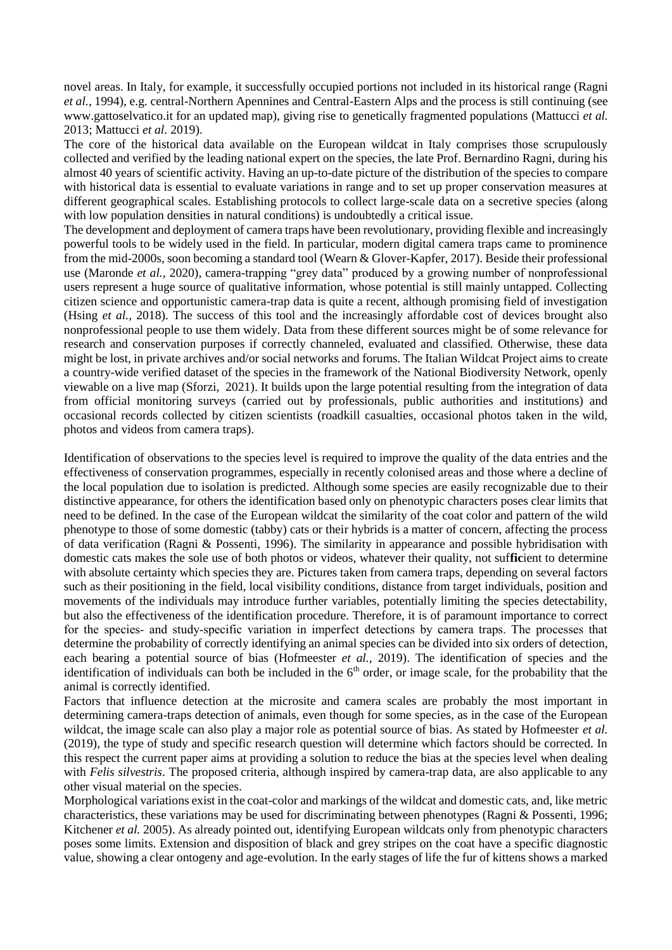novel areas. In Italy, for example, it successfully occupied portions not included in its historical range (Ragni *et al.*, 1994), e.g. central-Northern Apennines and Central-Eastern Alps and the process is still continuing (see www.gattoselvatico.it for an updated map), giving rise to genetically fragmented populations (Mattucci *et al.* 2013; Mattucci *et al.* 2019).

The core of the historical data available on the European wildcat in Italy comprises those scrupulously collected and verified by the leading national expert on the species, the late Prof. Bernardino Ragni, during his almost 40 years of scientific activity. Having an up-to-date picture of the distribution of the species to compare with historical data is essential to evaluate variations in range and to set up proper conservation measures at different geographical scales. Establishing protocols to collect large-scale data on a secretive species (along with low population densities in natural conditions) is undoubtedly a critical issue.

The development and deployment of camera traps have been revolutionary, providing flexible and increasingly powerful tools to be widely used in the field. In particular, modern digital camera traps came to prominence from the mid-2000s, soon becoming a standard tool (Wearn & Glover-Kapfer, 2017). Beside their professional use (Maronde *et al.,* 2020), camera-trapping "grey data" produced by a growing number of nonprofessional users represent a huge source of qualitative information, whose potential is still mainly untapped. Collecting citizen science and opportunistic camera-trap data is quite a recent, although promising field of investigation (Hsing *et al.*, 2018). The success of this tool and the increasingly affordable cost of devices brought also nonprofessional people to use them widely. Data from these different sources might be of some relevance for research and conservation purposes if correctly channeled, evaluated and classified. Otherwise, these data might be lost, in private archives and/or social networks and forums. The Italian Wildcat Project aims to create a country-wide verified dataset of the species in the framework of the National Biodiversity Network, openly viewable on a live map (Sforzi, 2021). It builds upon the large potential resulting from the integration of data from official monitoring surveys (carried out by professionals, public authorities and institutions) and occasional records collected by citizen scientists (roadkill casualties, occasional photos taken in the wild, photos and videos from camera traps).

Identification of observations to the species level is required to improve the quality of the data entries and the effectiveness of conservation programmes, especially in recently colonised areas and those where a decline of the local population due to isolation is predicted. Although some species are easily recognizable due to their distinctive appearance, for others the identification based only on phenotypic characters poses clear limits that need to be defined. In the case of the European wildcat the similarity of the coat color and pattern of the wild phenotype to those of some domestic (tabby) cats or their hybrids is a matter of concern, affecting the process of data verification (Ragni & Possenti, 1996). The similarity in appearance and possible hybridisation with domestic cats makes the sole use of both photos or videos, whatever their quality, not suf**fic**ient to determine with absolute certainty which species they are. Pictures taken from camera traps, depending on several factors such as their positioning in the field, local visibility conditions, distance from target individuals, position and movements of the individuals may introduce further variables, potentially limiting the species detectability, but also the effectiveness of the identification procedure. Therefore, it is of paramount importance to correct for the species- and study-specific variation in imperfect detections by camera traps. The processes that determine the probability of correctly identifying an animal species can be divided into six orders of detection, each bearing a potential source of bias (Hofmeester *et al.*, 2019). The identification of species and the identification of individuals can both be included in the 6<sup>th</sup> order, or image scale, for the probability that the animal is correctly identified.

Factors that influence detection at the microsite and camera scales are probably the most important in determining camera-traps detection of animals, even though for some species, as in the case of the European wildcat, the image scale can also play a major role as potential source of bias. As stated by Hofmeester *et al.* (2019), the type of study and specific research question will determine which factors should be corrected. In this respect the current paper aims at providing a solution to reduce the bias at the species level when dealing with *Felis silvestris*. The proposed criteria, although inspired by camera-trap data, are also applicable to any other visual material on the species.

Morphological variations exist in the coat-color and markings of the wildcat and domestic cats, and, like metric characteristics, these variations may be used for discriminating between phenotypes (Ragni & Possenti, 1996; Kitchener *et al.* 2005). As already pointed out, identifying European wildcats only from phenotypic characters poses some limits. Extension and disposition of black and grey stripes on the coat have a specific diagnostic value, showing a clear ontogeny and age-evolution. In the early stages of life the fur of kittens shows a marked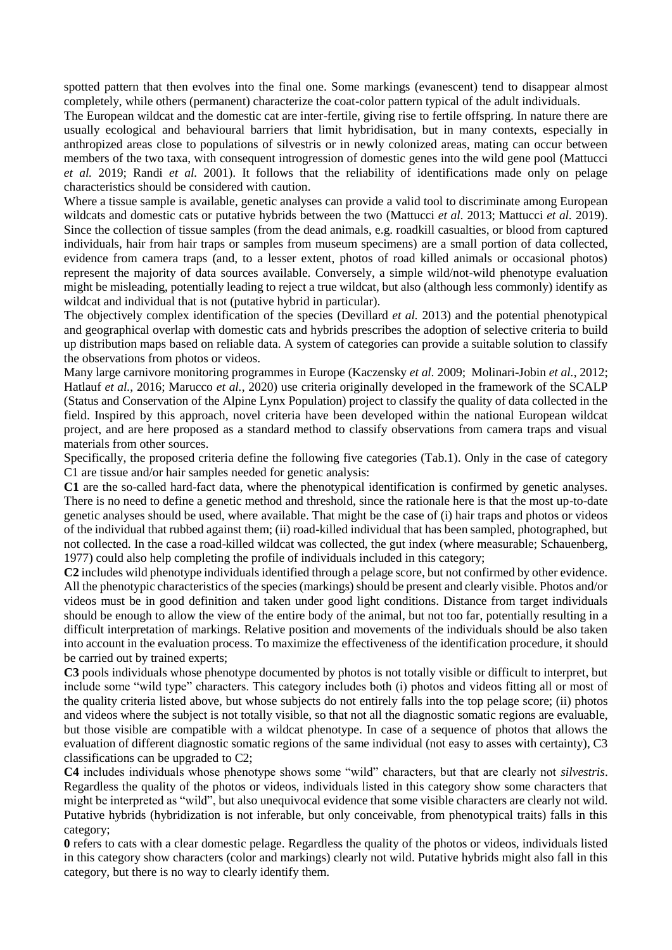spotted pattern that then evolves into the final one. Some markings (evanescent) tend to disappear almost completely, while others (permanent) characterize the coat-color pattern typical of the adult individuals.

The European wildcat and the domestic cat are inter-fertile, giving rise to fertile offspring. In nature there are usually ecological and behavioural barriers that limit hybridisation, but in many contexts, especially in anthropized areas close to populations of silvestris or in newly colonized areas, mating can occur between members of the two taxa, with consequent introgression of domestic genes into the wild gene pool (Mattucci *et al.* 2019; Randi *et al.* 2001). It follows that the reliability of identifications made only on pelage characteristics should be considered with caution.

Where a tissue sample is available, genetic analyses can provide a valid tool to discriminate among European wildcats and domestic cats or putative hybrids between the two (Mattucci *et al.* 2013; Mattucci *et al.* 2019). Since the collection of tissue samples (from the dead animals, e.g. roadkill casualties, or blood from captured individuals, hair from hair traps or samples from museum specimens) are a small portion of data collected, evidence from camera traps (and, to a lesser extent, photos of road killed animals or occasional photos) represent the majority of data sources available. Conversely, a simple wild/not-wild phenotype evaluation might be misleading, potentially leading to reject a true wildcat, but also (although less commonly) identify as wildcat and individual that is not (putative hybrid in particular).

The objectively complex identification of the species (Devillard *et al.* 2013) and the potential phenotypical and geographical overlap with domestic cats and hybrids prescribes the adoption of selective criteria to build up distribution maps based on reliable data. A system of categories can provide a suitable solution to classify the observations from photos or videos.

Many large carnivore monitoring programmes in Europe (Kaczensky *et al.* 2009; Molinari-Jobin *et al.*, 2012; Hatlauf *et al.*, 2016; Marucco *et al.*, 2020) use criteria originally developed in the framework of the SCALP (Status and Conservation of the Alpine Lynx Population) project to classify the quality of data collected in the field. Inspired by this approach, novel criteria have been developed within the national European wildcat project, and are here proposed as a standard method to classify observations from camera traps and visual materials from other sources.

Specifically, the proposed criteria define the following five categories (Tab.1). Only in the case of category C1 are tissue and/or hair samples needed for genetic analysis:

**C1** are the so-called hard-fact data, where the phenotypical identification is confirmed by genetic analyses. There is no need to define a genetic method and threshold, since the rationale here is that the most up-to-date genetic analyses should be used, where available. That might be the case of (i) hair traps and photos or videos of the individual that rubbed against them; (ii) road-killed individual that has been sampled, photographed, but not collected. In the case a road-killed wildcat was collected, the gut index (where measurable; Schauenberg, 1977) could also help completing the profile of individuals included in this category;

**C2** includes wild phenotype individuals identified through a pelage score, but not confirmed by other evidence. All the phenotypic characteristics of the species (markings) should be present and clearly visible. Photos and/or videos must be in good definition and taken under good light conditions. Distance from target individuals should be enough to allow the view of the entire body of the animal, but not too far, potentially resulting in a difficult interpretation of markings. Relative position and movements of the individuals should be also taken into account in the evaluation process. To maximize the effectiveness of the identification procedure, it should be carried out by trained experts;

**C3** pools individuals whose phenotype documented by photos is not totally visible or difficult to interpret, but include some "wild type" characters. This category includes both (i) photos and videos fitting all or most of the quality criteria listed above, but whose subjects do not entirely falls into the top pelage score; (ii) photos and videos where the subject is not totally visible, so that not all the diagnostic somatic regions are evaluable, but those visible are compatible with a wildcat phenotype. In case of a sequence of photos that allows the evaluation of different diagnostic somatic regions of the same individual (not easy to asses with certainty), C3 classifications can be upgraded to C2;

**C4** includes individuals whose phenotype shows some "wild" characters, but that are clearly not *silvestris*. Regardless the quality of the photos or videos, individuals listed in this category show some characters that might be interpreted as "wild", but also unequivocal evidence that some visible characters are clearly not wild. Putative hybrids (hybridization is not inferable, but only conceivable, from phenotypical traits) falls in this category;

**0** refers to cats with a clear domestic pelage. Regardless the quality of the photos or videos, individuals listed in this category show characters (color and markings) clearly not wild. Putative hybrids might also fall in this category, but there is no way to clearly identify them.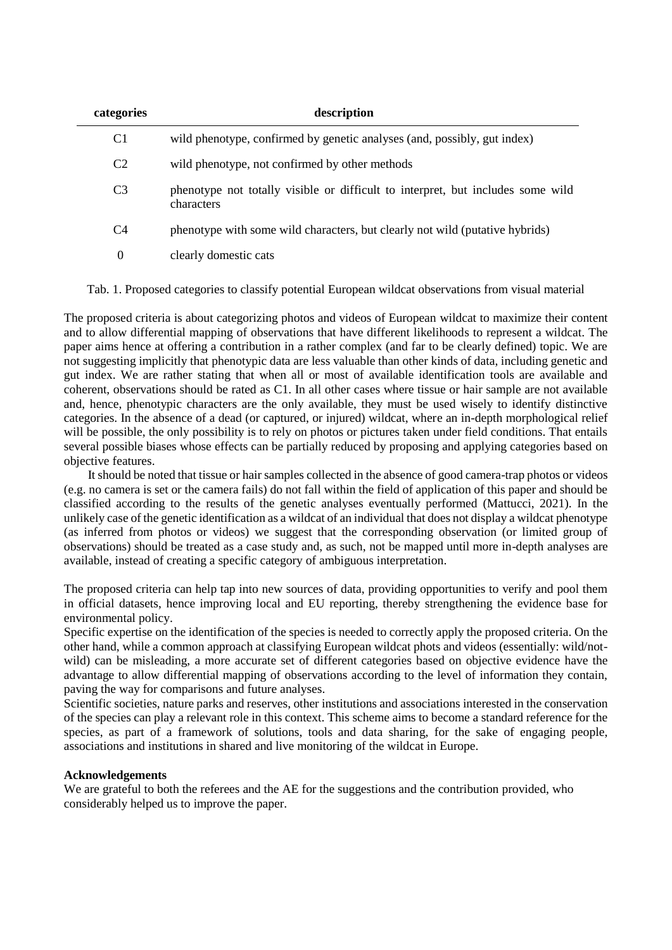| categories     | description                                                                                   |
|----------------|-----------------------------------------------------------------------------------------------|
| C <sub>1</sub> | wild phenotype, confirmed by genetic analyses (and, possibly, gut index)                      |
| C <sub>2</sub> | wild phenotype, not confirmed by other methods                                                |
| C <sub>3</sub> | phenotype not totally visible or difficult to interpret, but includes some wild<br>characters |
| C <sub>4</sub> | phenotype with some wild characters, but clearly not wild (putative hybrids)                  |
| $\theta$       | clearly domestic cats                                                                         |

Tab. 1. Proposed categories to classify potential European wildcat observations from visual material

The proposed criteria is about categorizing photos and videos of European wildcat to maximize their content and to allow differential mapping of observations that have different likelihoods to represent a wildcat. The paper aims hence at offering a contribution in a rather complex (and far to be clearly defined) topic. We are not suggesting implicitly that phenotypic data are less valuable than other kinds of data, including genetic and gut index. We are rather stating that when all or most of available identification tools are available and coherent, observations should be rated as C1. In all other cases where tissue or hair sample are not available and, hence, phenotypic characters are the only available, they must be used wisely to identify distinctive categories. In the absence of a dead (or captured, or injured) wildcat, where an in-depth morphological relief will be possible, the only possibility is to rely on photos or pictures taken under field conditions. That entails several possible biases whose effects can be partially reduced by proposing and applying categories based on objective features.

It should be noted that tissue or hair samples collected in the absence of good camera-trap photos or videos (e.g. no camera is set or the camera fails) do not fall within the field of application of this paper and should be classified according to the results of the genetic analyses eventually performed (Mattucci, 2021). In the unlikely case of the genetic identification as a wildcat of an individual that does not display a wildcat phenotype (as inferred from photos or videos) we suggest that the corresponding observation (or limited group of observations) should be treated as a case study and, as such, not be mapped until more in-depth analyses are available, instead of creating a specific category of ambiguous interpretation.

The proposed criteria can help tap into new sources of data, providing opportunities to verify and pool them in official datasets, hence improving local and EU reporting, thereby strengthening the evidence base for environmental policy.

Specific expertise on the identification of the species is needed to correctly apply the proposed criteria. On the other hand, while a common approach at classifying European wildcat phots and videos (essentially: wild/notwild) can be misleading, a more accurate set of different categories based on objective evidence have the advantage to allow differential mapping of observations according to the level of information they contain, paving the way for comparisons and future analyses.

Scientific societies, nature parks and reserves, other institutions and associations interested in the conservation of the species can play a relevant role in this context. This scheme aims to become a standard reference for the species, as part of a framework of solutions, tools and data sharing, for the sake of engaging people, associations and institutions in shared and live monitoring of the wildcat in Europe.

# **Acknowledgements**

We are grateful to both the referees and the AE for the suggestions and the contribution provided, who considerably helped us to improve the paper.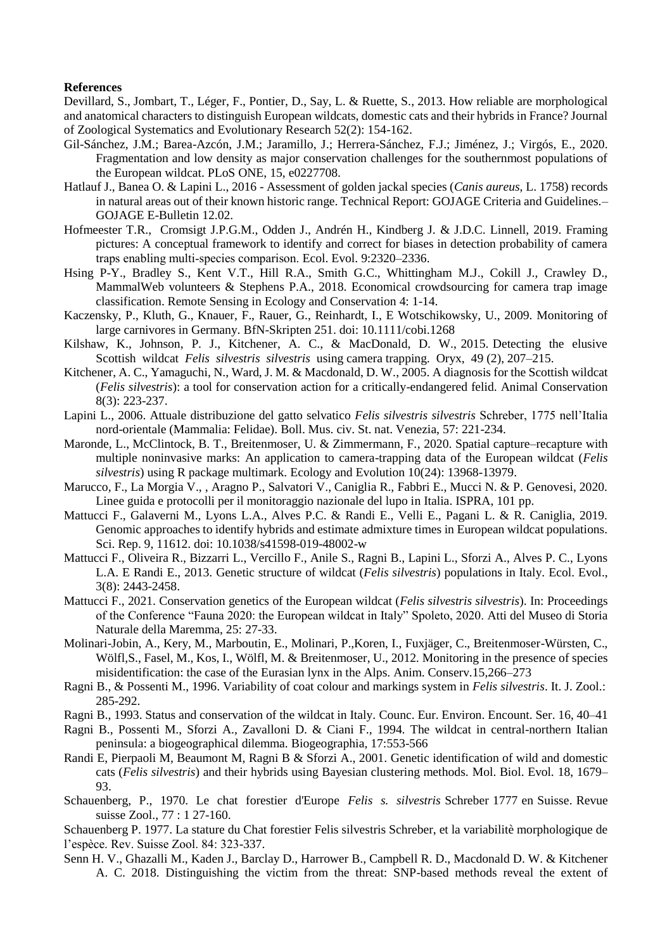### **References**

Devillard, S., Jombart, T., Léger, F., Pontier, D., Say, L. & Ruette, S., 2013. How reliable are morphological and anatomical characters to distinguish European wildcats, domestic cats and their hybrids in France? Journal of Zoological Systematics and Evolutionary Research 52(2): 154-162.

- Gil-Sánchez, J.M.; Barea-Azcón, J.M.; Jaramillo, J.; Herrera-Sánchez, F.J.; Jiménez, J.; Virgós, E., 2020. Fragmentation and low density as major conservation challenges for the southernmost populations of the European wildcat. PLoS ONE, 15, e0227708.
- Hatlauf J., Banea O. & Lapini L., 2016 Assessment of golden jackal species (*Canis aureus*, L. 1758) records in natural areas out of their known historic range. Technical Report: GOJAGE Criteria and Guidelines.– GOJAGE E-Bulletin 12.02.
- Hofmeester T.R., Cromsigt J.P.G.M., Odden J., Andrén H., Kindberg J. & J.D.C. Linnell, 2019. Framing pictures: A conceptual framework to identify and correct for biases in detection probability of camera traps enabling multi‐species comparison. Ecol. Evol. 9:2320–2336.
- Hsing P-Y., Bradley S., Kent V.T., Hill R.A., Smith G.C., Whittingham M.J., Cokill J., Crawley D., MammalWeb volunteers & Stephens P.A., 2018. Economical crowdsourcing for camera trap image classification. Remote Sensing in Ecology and Conservation 4: 1-14.
- Kaczensky, P., Kluth, G., Knauer, F., Rauer, G., Reinhardt, I., E Wotschikowsky, U., 2009. Monitoring of large carnivores in Germany. BfN-Skripten 251. doi: 10.1111/cobi.1268
- Kilshaw, K., Johnson, P. J., Kitchener, A. C., & MacDonald, D. W., 2015. Detecting the elusive Scottish wildcat *Felis silvestris silvestris* using camera trapping. Oryx, 49 (2), 207–215.
- Kitchener, A. C., Yamaguchi, N., Ward, J. M. & Macdonald, D. W., 2005. A diagnosis for the Scottish wildcat (*Felis silvestris*): a tool for conservation action for a critically-endangered felid. Animal Conservation 8(3): 223-237.
- Lapini L., 2006. Attuale distribuzione del gatto selvatico *Felis silvestris silvestris* Schreber, 1775 nell'Italia nord-orientale (Mammalia: Felidae). Boll. Mus. civ. St. nat. Venezia, 57: 221-234.
- Maronde, L., McClintock, B. T., Breitenmoser, U. & Zimmermann, F., 2020. Spatial capture–recapture with multiple noninvasive marks: An application to camera-trapping data of the European wildcat (*Felis silvestris*) using R package multimark. Ecology and Evolution 10(24): 13968-13979.
- Marucco, F., La Morgia V., , Aragno P., Salvatori V., Caniglia R., Fabbri E., Mucci N. & P. Genovesi, 2020. Linee guida e protocolli per il monitoraggio nazionale del lupo in Italia. ISPRA, 101 pp.
- Mattucci F., Galaverni M., Lyons L.A., Alves P.C. & Randi E., Velli E., Pagani L. & R. Caniglia, 2019. Genomic approaches to identify hybrids and estimate admixture times in European wildcat populations. Sci. Rep. 9, 11612. doi: 10.1038/s41598-019-48002-w
- Mattucci F., Oliveira R., Bizzarri L., Vercillo F., Anile S., Ragni B., Lapini L., Sforzi A., Alves P. C., Lyons L.A. E Randi E., 2013. Genetic structure of wildcat (*Felis silvestris*) populations in Italy. Ecol. Evol., 3(8): 2443-2458.
- Mattucci F., 2021. Conservation genetics of the European wildcat (*Felis silvestris silvestris*). In: Proceedings of the Conference "Fauna 2020: the European wildcat in Italy" Spoleto, 2020. Atti del Museo di Storia Naturale della Maremma, 25: 27-33.
- Molinari-Jobin, A., Kery, M., Marboutin, E., Molinari, P.,Koren, I., Fuxjäger, C., Breitenmoser-Würsten, C., Wölfl,S., Fasel, M., Kos, I., Wölfl, M. & Breitenmoser, U., 2012. Monitoring in the presence of species misidentification: the case of the Eurasian lynx in the Alps. Anim. Conserv.15,266–273
- Ragni B., & Possenti M., 1996. Variability of coat colour and markings system in *Felis silvestris*. It. J. Zool.: 285-292.
- Ragni B., 1993. Status and conservation of the wildcat in Italy. Counc. Eur. Environ. Encount. Ser. 16, 40–41
- Ragni B., Possenti M., Sforzi A., Zavalloni D. & Ciani F., 1994. The wildcat in central-northern Italian peninsula: a biogeographical dilemma. Biogeographia, 17:553-566
- Randi E, Pierpaoli M, Beaumont M, Ragni B & Sforzi A., 2001. Genetic identification of wild and domestic cats (*Felis silvestris*) and their hybrids using Bayesian clustering methods. Mol. Biol. Evol*.* 18, 1679– 93.
- Schauenberg, P., 1970. Le chat forestier d'Europe *Felis s. silvestris* Schreber 1777 en Suisse. Revue suisse Zool., 77 : 1 27-160.
- Schauenberg P. 1977. La stature du Chat forestier Felis silvestris Schreber, et la variabilitè morphologique de l'espèce. Rev. Suisse Zool. 84: 323-337.
- Senn H. V., Ghazalli M., Kaden J., Barclay D., Harrower B., Campbell R. D., Macdonald D. W. & Kitchener A. C. 2018. Distinguishing the victim from the threat: SNP-based methods reveal the extent of